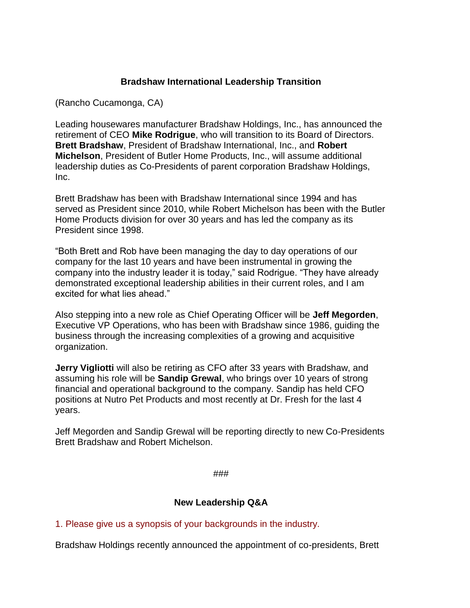## **Bradshaw International Leadership Transition**

(Rancho Cucamonga, CA)

Leading housewares manufacturer Bradshaw Holdings, Inc., has announced the retirement of CEO **Mike Rodrigue**, who will transition to its Board of Directors. **Brett Bradshaw**, President of Bradshaw International, Inc., and **Robert Michelson**, President of Butler Home Products, Inc., will assume additional leadership duties as Co-Presidents of parent corporation Bradshaw Holdings, Inc.

Brett Bradshaw has been with Bradshaw International since 1994 and has served as President since 2010, while Robert Michelson has been with the Butler Home Products division for over 30 years and has led the company as its President since 1998.

"Both Brett and Rob have been managing the day to day operations of our company for the last 10 years and have been instrumental in growing the company into the industry leader it is today," said Rodrigue. "They have already demonstrated exceptional leadership abilities in their current roles, and I am excited for what lies ahead."

Also stepping into a new role as Chief Operating Officer will be **Jeff Megorden**, Executive VP Operations, who has been with Bradshaw since 1986, guiding the business through the increasing complexities of a growing and acquisitive organization.

**Jerry Vigliotti** will also be retiring as CFO after 33 years with Bradshaw, and assuming his role will be **Sandip Grewal**, who brings over 10 years of strong financial and operational background to the company. Sandip has held CFO positions at Nutro Pet Products and most recently at Dr. Fresh for the last 4 years.

Jeff Megorden and Sandip Grewal will be reporting directly to new Co-Presidents Brett Bradshaw and Robert Michelson.

###

## **New Leadership Q&A**

1. Please give us a synopsis of your backgrounds in the industry.

Bradshaw Holdings recently announced the appointment of co-presidents, Brett